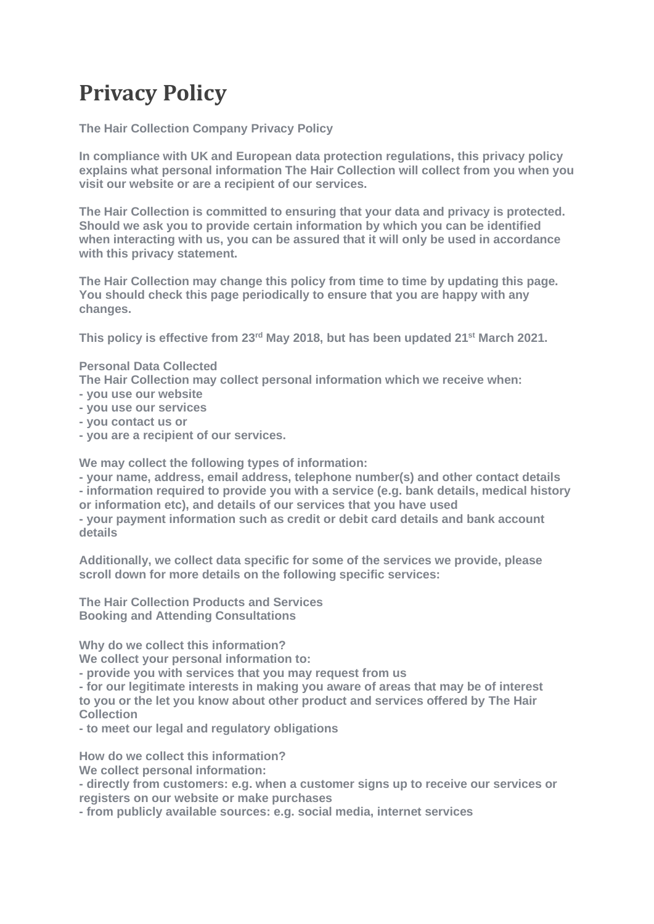## **Privacy Policy**

**The Hair Collection Company Privacy Policy**

**In compliance with UK and European data protection regulations, this privacy policy explains what personal information The Hair Collection will collect from you when you visit our website or are a recipient of our services.**

**The Hair Collection is committed to ensuring that your data and privacy is protected. Should we ask you to provide certain information by which you can be identified when interacting with us, you can be assured that it will only be used in accordance with this privacy statement.**

**The Hair Collection may change this policy from time to time by updating this page. You should check this page periodically to ensure that you are happy with any changes.** 

**This policy is effective from 23rd May 2018, but has been updated 21st March 2021.**

## **Personal Data Collected**

**The Hair Collection may collect personal information which we receive when:**

- **- you use our website**
- **- you use our services**
- **- you contact us or**
- **- you are a recipient of our services.**

**We may collect the following types of information:**

**- your name, address, email address, telephone number(s) and other contact details - information required to provide you with a service (e.g. bank details, medical history or information etc), and details of our services that you have used - your payment information such as credit or debit card details and bank account details**

**Additionally, we collect data specific for some of the services we provide, please scroll down for more details on the following specific services:**

**The Hair Collection Products and Services Booking and Attending Consultations**

**Why do we collect this information?** 

**We collect your personal information to:**

**- provide you with services that you may request from us**

**- for our legitimate interests in making you aware of areas that may be of interest to you or the let you know about other product and services offered by The Hair Collection**

**- to meet our legal and regulatory obligations**

**How do we collect this information?** 

**We collect personal information:**

**- directly from customers: e.g. when a customer signs up to receive our services or registers on our website or make purchases**

**- from publicly available sources: e.g. social media, internet services**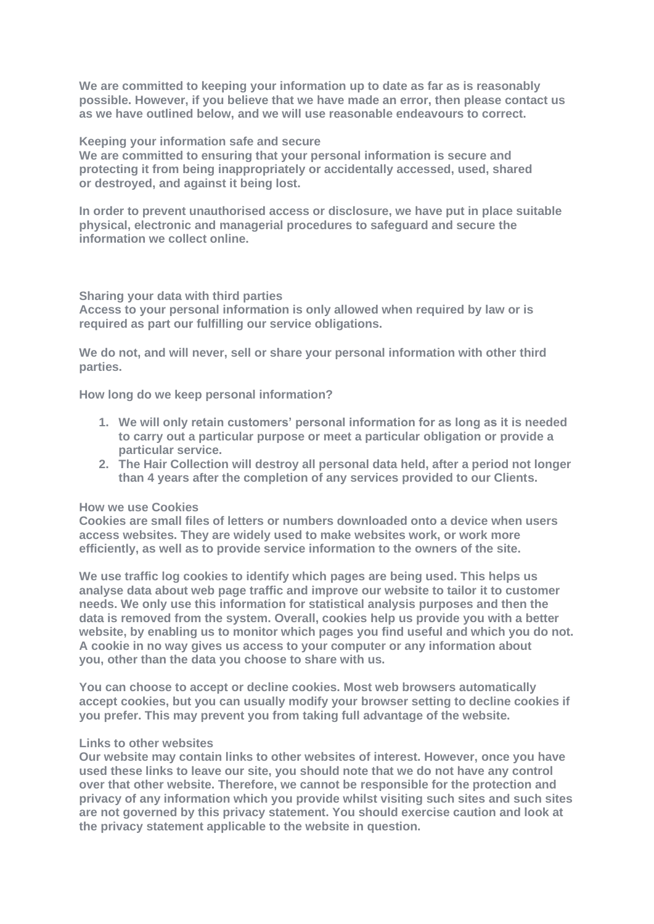**We are committed to keeping your information up to date as far as is reasonably possible. However, if you believe that we have made an error, then please contact us as we have outlined below, and we will use reasonable endeavours to correct.** 

**Keeping your information safe and secure**

**We are committed to ensuring that your personal information is secure and protecting it from being inappropriately or accidentally accessed, used, shared or destroyed, and against it being lost.**

**In order to prevent unauthorised access or disclosure, we have put in place suitable physical, electronic and managerial procedures to safeguard and secure the information we collect online.**

**Sharing your data with third parties**

**Access to your personal information is only allowed when required by law or is required as part our fulfilling our service obligations.** 

**We do not, and will never, sell or share your personal information with other third parties.** 

**How long do we keep personal information?**

- **1. We will only retain customers' personal information for as long as it is needed to carry out a particular purpose or meet a particular obligation or provide a particular service.**
- **2. The Hair Collection will destroy all personal data held, after a period not longer than 4 years after the completion of any services provided to our Clients.**

## **How we use Cookies**

**Cookies are small files of letters or numbers downloaded onto a device when users access websites. They are widely used to make websites work, or work more efficiently, as well as to provide service information to the owners of the site.**

**We use traffic log cookies to identify which pages are being used. This helps us analyse data about web page traffic and improve our website to tailor it to customer needs. We only use this information for statistical analysis purposes and then the data is removed from the system. Overall, cookies help us provide you with a better website, by enabling us to monitor which pages you find useful and which you do not. A cookie in no way gives us access to your computer or any information about you, other than the data you choose to share with us.**

**You can choose to accept or decline cookies. Most web browsers automatically accept cookies, but you can usually modify your browser setting to decline cookies if you prefer. This may prevent you from taking full advantage of the website.**

## **Links to other websites**

**Our website may contain links to other websites of interest. However, once you have used these links to leave our site, you should note that we do not have any control over that other website. Therefore, we cannot be responsible for the protection and privacy of any information which you provide whilst visiting such sites and such sites are not governed by this privacy statement. You should exercise caution and look at the privacy statement applicable to the website in question.**